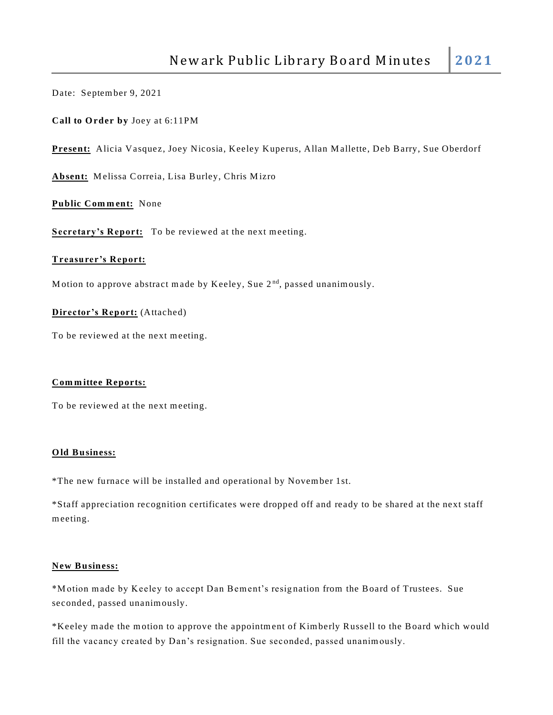Date: Septem ber 9, 2021

**Call to O rder by** Joey at 6:11PM

**Present:** Alicia Vasquez, Joey Nicosia, Keeley Kuperus, Allan M allette, Deb Barry, Sue Oberdorf

Absent: Melissa Correia, Lisa Burley, Chris Mizro

Public Comment: None

Secretary's Report: To be reviewed at the next meeting.

## **Treasurer's Report:**

Motion to approve abstract made by Keeley, Sue  $2<sup>nd</sup>$ , passed unanimously.

**Director's Report:** (Attached)

To be reviewed at the next meeting.

## **Com m ittee Reports:**

To be reviewed at the next meeting.

## **O ld Business:**

\*The new furnace will be installed and operational by Novem ber 1st.

\*Staff appreciation recognition certificates were dropped off and ready to be shared at the next staff m eeting.

## **New Business:**

\*Motion made by Keeley to accept Dan Bement's resignation from the Board of Trustees. Sue seconded, passed unanim ously.

\*Keeley m ade the m otion to approve the appointm ent of Kim berly Russell to the Board which would fill the vacancy created by Dan's resignation. Sue seconded, passed unanim ously.